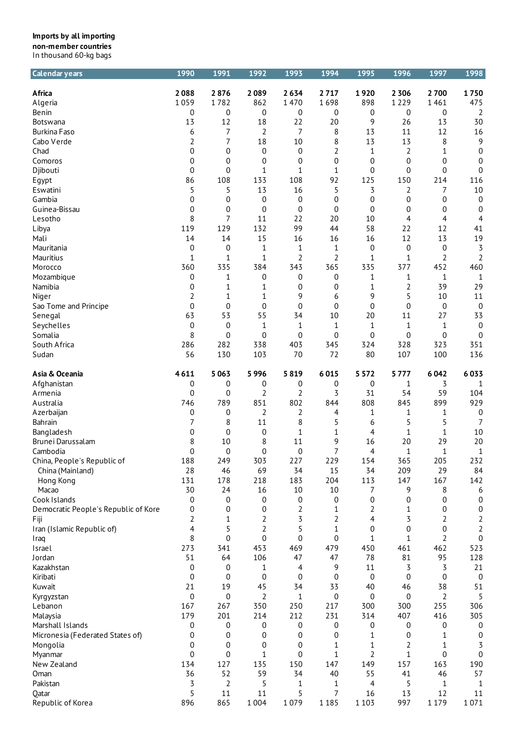| <b>Calendar years</b>                | 1990             | 1991        | 1992             | 1993             | 1994             | 1995             | 1996             | 1997           | 1998             |
|--------------------------------------|------------------|-------------|------------------|------------------|------------------|------------------|------------------|----------------|------------------|
| Africa                               | 2088             | 2876        | 2089             | 2634             | 2717             | 1920             | 2 3 0 6          | 2700           | 1750             |
| Algeria                              | 1059             | 1782        | 862              | 1470             | 1698             | 898              | 1 2 2 9          | 1461           | 475              |
| Benin                                | 0                | 0           | 0                | 0                | 0                | 0                | 0                | 0              | $\overline{2}$   |
| <b>Botswana</b>                      | 13               | 12          | 18               | 22               | 20               | 9                | 26               | 13             | 30               |
| <b>Burkina Faso</b>                  | 6                | 7           | 2                | 7                | 8                | 13               | 11               | 12             | 16               |
| Cabo Verde                           |                  | 7           | 18               | 10               | 8                | 13               | 13               | 8              | 9                |
| Chad                                 | 2                | 0           |                  |                  | $\overline{2}$   |                  |                  | 1              | $\boldsymbol{0}$ |
|                                      | 0<br>0           | 0           | 0<br>0           | 0                | 0                | 1<br>0           | 2<br>0           | 0              |                  |
| Comoros<br>Djibouti                  | 0                | 0           | 1                | 0<br>$1\,$       | 1                | 0                | 0                | 0              | 0<br>$\mathbf 0$ |
|                                      | 86               | 108         | 133              | 108              | 92               | 125              | 150              | 214            | 116              |
| Egypt<br>Eswatini                    | 5                | 5           | 13               | 16               | 5                | 3                | 2                | 7              | 10               |
| Gambia                               | 0                | 0           | $\boldsymbol{0}$ | $\boldsymbol{0}$ | $\boldsymbol{0}$ | $\boldsymbol{0}$ | $\boldsymbol{0}$ | 0              | $\boldsymbol{0}$ |
| Guinea-Bissau                        | 0                | 0           | $\mathbf 0$      | $\boldsymbol{0}$ | 0                | 0                | 0                | 0              | $\boldsymbol{0}$ |
| Lesotho                              | 8                | 7           | 11               | 22               | 20               | 10               | 4                | 4              | 4                |
| Libya                                | 119              | 129         | 132              | 99               | 44               | 58               | 22               | 12             | 41               |
| Mali                                 | 14               | 14          | 15               | 16               | 16               | 16               | 12               | 13             | 19               |
| Mauritania                           | 0                | 0           | 1                | 1                | 1                | 0                | 0                | 0              | 3                |
| Mauritius                            | $\mathbf{1}$     | 1           | $1\,$            | $\overline{2}$   | $\overline{2}$   | 1                | 1                | $\overline{2}$ | $\overline{2}$   |
| Morocco                              | 360              | 335         | 384              | 343              | 365              | 335              | 377              | 452            | 460              |
| Mozambique                           | 0                | 1           | 0                | 0                | 0                | 1                | 1                | $\mathbf{1}$   | $\mathbf{1}$     |
| Namibia                              |                  |             |                  |                  |                  |                  |                  | 39             | 29               |
|                                      | 0                | 1           | 1                | 0<br>9           | 0                | 1                | 2                |                |                  |
| Niger                                | 2                | 1           | 1                |                  | 6                | 9                | 5                | 10             | 11               |
| Sao Tome and Principe                | 0                | 0           | 0                | 0                | 0                | 0                | 0                | 0<br>27        | $\mathbf 0$      |
| Senegal                              | 63               | 53          | 55               | 34               | 10               | 20               | 11               |                | 33               |
| Seychelles                           | 0                | 0           | 1                | 1                | 1                | 1                | 1                | $\mathbf{1}$   | $\mathbf 0$      |
| Somalia                              | 8                | 0<br>282    | $\mathbf 0$      | 0                | 0                | 0                | 0                | 0              | $\mathbf 0$      |
| South Africa                         | 286              |             | 338              | 403              | 345<br>72        | 324              | 328<br>107       | 323            | 351              |
| Sudan                                | 56               | 130         | 103              | 70               |                  | 80               |                  | 100            | 136              |
| Asia & Oceania                       | 4611             | 5063        | 5996             | 5819             | 6015             | 5 5 7 2          | 5777             | 6042           | 6033             |
| Afghanistan                          | 0                | 0           | 0                | 0                | 0                | 0                | 1                | 3              | $\mathbf{1}$     |
| Armenia                              | 0                | 0           | 2                | 2                | 3                | 31               | 54               | 59             | 104              |
| Australia                            | 746              | 789         | 851              | 802              | 844              | 808              | 845              | 899            | 929              |
| Azerbaijan                           | 0                | 0           | 2                | 2                | 4                | 1                | 1                | 1              | $\boldsymbol{0}$ |
| Bahrain                              | 7                | 8           | 11               | 8                | 5                | 6                | 5                | 5              | 7                |
| Bangladesh                           | 0                | 0           | $\boldsymbol{0}$ | $\mathbf{1}$     | 1                | 4                | 1                | 1              | $10\,$           |
| Brunei Darussalam                    | 8                | 10          | 8                | 11               | 9                | 16               | 20               | 29             | 20               |
| Cambodia                             | 0                | 0           | 0                | 0                | 7                | 4                | 1                | $\mathbf{1}$   | $\mathbf{1}$     |
| China, People's Republic of          | 188              | 249         | 303              | 227              | 229              | 154              | 365              | 205            | 232              |
| China (Mainland)                     | 28               | 46          | 69               | 34               | 15               | 34               | 209              | 29             | 84               |
| Hong Kong                            | 131              | 178         | 218              | 183              | 204              | 113              | 147              | 167            | 142              |
| Macao                                | 30               | 24          | 16               | 10               | 10               | 7                | 9                | 8              | 6                |
| Cook Islands                         | 0                | 0           | 0                | 0                | 0                | $\boldsymbol{0}$ | 0                | 0              | 0                |
| Democratic People's Republic of Kore | 0                | 0           | 0                | 2                | 1                | 2                | 1                | 0              | $\boldsymbol{0}$ |
| Fiji                                 | 2                | 1           | 2                | 3                | 2                | 4                | 3                | 2              | 2                |
| Iran (Islamic Republic of)           | 4                | 5           | $\overline{2}$   | 5                | 1                | 0                | 0                | $\Omega$       | $\overline{2}$   |
| Iraq                                 | 8                | $\mathbf 0$ | $\mathbf 0$      | 0                | 0                | 1                | 1                | 2              | $\boldsymbol{0}$ |
| Israel                               | 273              | 341         | 453              | 469              | 479              | 450              | 461              | 462            | 523              |
| Jordan                               | 51               | 64          | 106              | 47               | 47               | 78               | 81               | 95             | 128              |
| Kazakhstan                           | 0                | 0           | 1                | 4                | 9                | 11               | 3                | 3              | 21               |
| Kiribati                             | 0                | 0           | $\mathbf 0$      | 0                | 0                | $\mathbf 0$      | 0                | 0              | $\boldsymbol{0}$ |
| Kuwait                               | 21               | 19          | 45               | 34               | 33               | 40               | 46               | 38             | 51               |
| Kyrgyzstan                           | $\boldsymbol{0}$ | 0           | 2                | 1                | 0                | 0                | 0                | 2              | 5                |
| Lebanon                              | 167              | 267         | 350              | 250              | 217              | 300              | 300              | 255            | 306              |
| Malaysia                             | 179              | 201         | 214              | 212              | 231              | 314              | 407              | 416            | 305              |
| Marshall Islands                     | 0                | 0           | 0                | 0                | 0                | 0                | 0                | 0              | $\mathbf 0$      |
| Micronesia (Federated States of)     | 0                | 0           | 0                | 0                | 0                | 1                | 0                | 1              | 0                |
| Mongolia                             | 0                | 0           | 0                | 0                | 1                | 1                | 2                | 1              | 3                |
| Myanmar                              | $\overline{0}$   | 0           | 1                | 0                | $\mathbf{1}$     | 2                | 1                | 0              | $\boldsymbol{0}$ |
| New Zealand                          | 134              | 127         | 135              | 150              | 147              | 149              | 157              | 163            | 190              |
| Oman                                 | 36               | 52          | 59               | 34               | 40               | 55               | 41               | 46             | 57               |
| Pakistan                             | 3                | $\sqrt{2}$  | 5                | 1                | 1                | 4                | 5                | 1              | $\mathbf{1}$     |
| Qatar                                | 5                | 11          | 11               | 5                | 7                | 16               | 13               | 12             | 11               |
| Republic of Korea                    | 896              | 865         | 1 0 0 4          | 1079             | 1 1 8 5          | 1 1 0 3          | 997              | 1 1 7 9        | 1071             |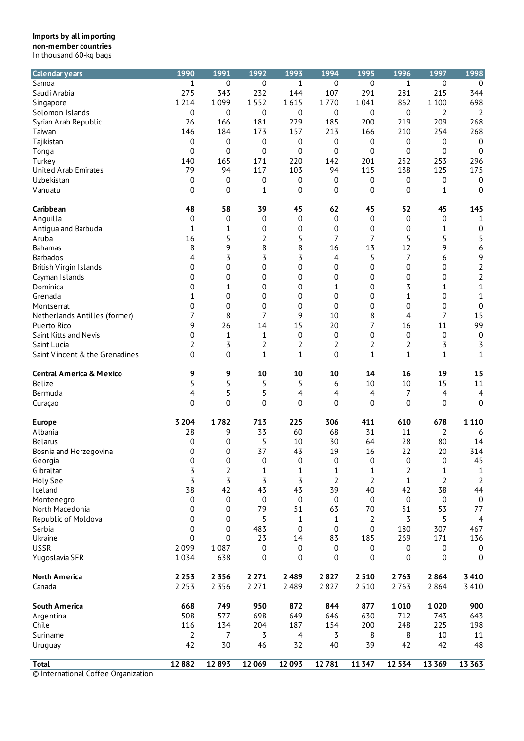| <b>Calendar years</b>               | 1990                    | 1991             | 1992           | 1993  | 1994             | 1995           | 1996             | 1997             | 1998             |
|-------------------------------------|-------------------------|------------------|----------------|-------|------------------|----------------|------------------|------------------|------------------|
| Samoa                               | 1                       | 0                | 0              | 1     | 0                | 0              | $\mathbf{1}$     | 0                | 0                |
| Saudi Arabia                        | 275                     | 343              | 232            | 144   | 107              | 291            | 281              | 215              | 344              |
| Singapore                           | 1 2 1 4                 | 1099             | 1552           | 1615  | 1770             | 1041           | 862              | 1 1 0 0          | 698              |
| Solomon Islands                     | 0                       | 0                | 0              | 0     | 0                | 0              | $\boldsymbol{0}$ | 2                | 2                |
|                                     |                         |                  |                |       |                  |                |                  |                  |                  |
| Syrian Arab Republic                | 26                      | 166              | 181            | 229   | 185              | 200            | 219              | 209              | 268              |
| Taiwan                              | 146                     | 184              | 173            | 157   | 213              | 166            | 210              | 254              | 268              |
| Tajikistan                          | 0                       | 0                | 0              | 0     | 0                | 0              | 0                | 0                | $\mathbf 0$      |
| Tonga                               | 0                       | 0                | 0              | 0     | 0                | 0              | 0                | 0                | $\mathbf 0$      |
| Turkey                              | 140                     | 165              | 171            | 220   | 142              | 201            | 252              | 253              | 296              |
| United Arab Emirates                | 79                      | 94               | 117            | 103   | 94               | 115            | 138              | 125              | 175              |
| Uzbekistan                          | 0                       | 0                | 0              | 0     | 0                | 0              | 0                | 0                | $\mathbf 0$      |
| Vanuatu                             | $\overline{0}$          | 0                | 1              | 0     | 0                | 0              | 0                | 1                | $\overline{0}$   |
|                                     |                         |                  |                |       |                  |                |                  |                  |                  |
| Caribbean                           | 48                      | 58               | 39             | 45    | 62               | 45             | 52               | 45               | 145              |
| Anguilla                            | $\mathbf 0$             | $\boldsymbol{0}$ | $\pmb{0}$      | 0     | 0                | 0              | 0                | 0                | 1                |
| Antigua and Barbuda                 | 1                       | 1                | 0              | 0     | 0                | 0              | 0                | 1                | 0                |
| Aruba                               | 16                      | 5                | 2              | 5     | 7                | 7              | 5                | 5                | 5                |
| <b>Bahamas</b>                      | 8                       | 9                | 8              | 8     | 16               | 13             | 12               | 9                | 6                |
| <b>Barbados</b>                     | 4                       | 3                | 3              | 3     | 4                | 5              | $\overline{7}$   | 6                | 9                |
| British Virgin Islands              | 0                       | 0                | 0              | 0     | 0                | 0              | 0                | 0                | 2                |
|                                     | 0                       |                  | 0              |       |                  | 0              |                  |                  |                  |
| Cayman Islands                      |                         | 0                |                | 0     | 0                |                | 0                | 0                | $\overline{2}$   |
| Dominica                            | 0                       | 1                | 0              | 0     | 1                | 0              | 3                | 1                | $\mathbf 1$      |
| Grenada                             | 1                       | 0                | 0              | 0     | 0                | 0              | 1                | 0                | $\mathbf{1}$     |
| Montserrat                          | 0                       | $\boldsymbol{0}$ | $\pmb{0}$      | 0     | 0                | 0              | 0                | 0                | $\boldsymbol{0}$ |
| Netherlands Antilles (former)       | 7                       | 8                | 7              | 9     | 10               | 8              | 4                | 7                | 15               |
| Puerto Rico                         | 9                       | 26               | 14             | 15    | 20               | 7              | 16               | 11               | 99               |
| Saint Kitts and Nevis               | 0                       | 1                | $\mathbf{1}$   | 0     | $\boldsymbol{0}$ | 0              | 0                | $\boldsymbol{0}$ | $\boldsymbol{0}$ |
| Saint Lucia                         | 2                       | 3                | 2              | 2     | 2                | $\overline{2}$ | 2                | 3                | 3                |
|                                     |                         |                  |                |       |                  |                |                  |                  |                  |
| Saint Vincent & the Grenadines      | $\overline{0}$          | $\pmb{0}$        | 1              | 1     | $\mathbf 0$      | 1              | $\mathbf{1}$     | $\mathbf{1}$     | $1\,$            |
| <b>Central America &amp; Mexico</b> | 9                       | 9                | 10             | 10    | 10               | 14             | 16               | 19               | 15               |
| Belize                              | 5                       | 5                | 5              | 5     | 6                | 10             | 10               | 15               | 11               |
| Bermuda                             | 4                       | 5                | 5              | 4     | 4                | 4              | 7                | 4                | $\overline{4}$   |
| Curaçao                             | 0                       | 0                | $\mathbf 0$    | 0     | 0                | 0              | 0                | 0                | 0                |
| <b>Europe</b>                       | 3 2 0 4                 | 1782             | 713            | 225   | 306              | 411            | 610              | 678              | 1 1 1 0          |
| Albania                             | 28                      | 9                | 33             | 60    | 68               | 31             | 11               | 2                | 6                |
|                                     |                         |                  |                | 10    | 30               |                | 28               | 80               |                  |
| <b>Belarus</b>                      | 0                       | 0                | 5              |       |                  | 64             |                  |                  | 14               |
| Bosnia and Herzegovina              | 0                       | 0                | 37             | 43    | 19               | 16             | 22               | 20               | 314              |
| Georgia                             | $\Omega$                | 0                | 0              | 0     | 0                | 0              | 0                | $\mathbf 0$      | 45               |
| Gibraltar                           | $\overline{\mathbf{5}}$ | 2                | $\mathbf 1$    | 1     | 1                | 1              | 2                | $\mathbf 1$      | 1                |
| Holy See                            | $\overline{3}$          | 3                | $\overline{3}$ | 3     | $\overline{2}$   | $\overline{2}$ | $\mathbf{1}$     | $\overline{2}$   | $\overline{2}$   |
| Iceland                             | 38                      | 42               | 43             | 43    | 39               | 40             | 42               | 38               | 44               |
| Montenegro                          | 0                       | 0                | 0              | 0     | 0                | 0              | $\boldsymbol{0}$ | $\boldsymbol{0}$ | $\boldsymbol{0}$ |
| North Macedonia                     | 0                       | 0                | 79             | 51    | 63               | 70             | 51               | 53               | 77               |
|                                     | 0                       | 0                | 5              |       |                  |                |                  |                  |                  |
| Republic of Moldova                 |                         |                  |                | 1     | 1                | 2              | 3                | 5                | 4                |
| Serbia                              | 0                       | 0                | 483            | 0     | 0                | $\mathbf 0$    | 180              | 307              | 467              |
| Ukraine                             | 0                       | 0                | 23             | 14    | 83               | 185            | 269              | 171              | 136              |
| <b>USSR</b>                         | 2099                    | 1087             | 0              | 0     | 0                | 0              | 0                | 0                | $\boldsymbol{0}$ |
| Yugoslavia SFR                      | 1034                    | 638              | 0              | 0     | 0                | 0              | 0                | 0                | $\mathbf 0$      |
| <b>North America</b>                | 2 2 5 3                 | 2 3 5 6          | 2 2 7 1        | 2489  | 2827             | 2510           | 2763             | 2864             | 3410             |
| Canada                              | 2 2 5 3                 | 2 3 5 6          | 2 2 7 1        | 2489  | 2827             | 2 5 1 0        | 2763             | 2864             | 3 4 1 0          |
|                                     |                         |                  |                |       |                  |                |                  |                  |                  |
| <b>South America</b>                | 668                     | 749              | 950            | 872   | 844              | 877            | 1010             | 1020             | 900              |
| Argentina                           | 508                     | 577              | 698            | 649   | 646              | 630            | 712              | 743              | 643              |
| Chile                               | 116                     | 134              | 204            | 187   | 154              | 200            | 248              | 225              | 198              |
| Suriname                            | 2                       | 7                | 3              | 4     | 3                | 8              | 8                | 10               | 11               |
| Uruguay                             | 42                      | 30               | 46             | 32    | 40               | 39             | 42               | 42               | 48               |
|                                     |                         |                  |                |       |                  |                |                  |                  |                  |
| <b>Total</b>                        | 12882                   | 12893            | 12069          | 12093 | 12781            | 11 3 4 7       | 12 5 34          | 13 3 6 9         | 13 3 63          |
| © International Coffee Organization |                         |                  |                |       |                  |                |                  |                  |                  |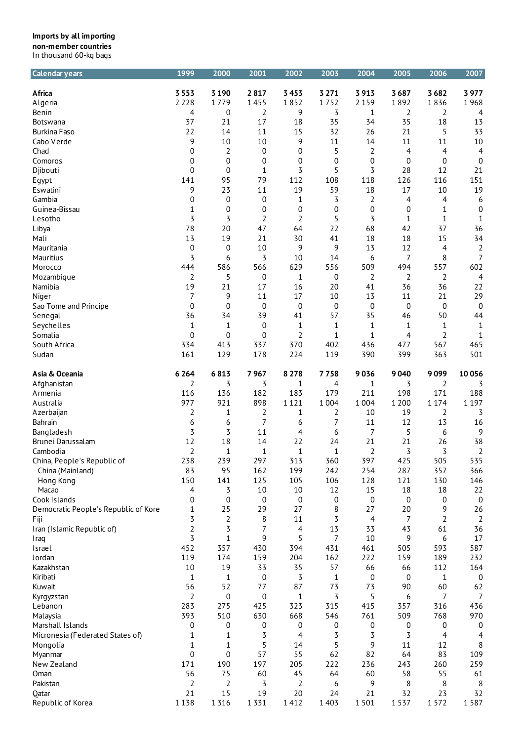| <b>Calendar years</b>                | 1999           | 2000           | 2001        | 2002         | 2003        | 2004             | 2005        | 2006           | 2007             |
|--------------------------------------|----------------|----------------|-------------|--------------|-------------|------------------|-------------|----------------|------------------|
| Africa                               | 3 5 5 3        | 3 1 9 0        | 2817        | 3453         | 3 2 7 1     | 3913             | 3687        | 3682           | 3977             |
| Algeria                              | 2 2 2 8        | 1779           | 1455        | 1852         | 1752        | 2 1 5 9          | 1892        | 1836           | 1968             |
| Benin                                | 4              | 0              | 2           | 9            | 3           | 1                | 2           | 2              | 4                |
| <b>Botswana</b>                      | 37             | 21             | 17          | 18           | 35          | 34               | 35          | 18             | 13               |
| <b>Burkina Faso</b>                  | 22             | 14             | 11          | 15           | 32          | 26               | 21          | 5              | 33               |
| Cabo Verde                           | 9              | 10             | 10          | 9            | 11          | 14               | 11          | 11             | 10               |
| Chad                                 | 0              | 2              | 0           | 0            | 5           | 2                | 4           | 4              | $\overline{4}$   |
| Comoros                              | 0              | 0              | 0           | 0            | 0           | $\mathbf 0$      | 0           | 0              | $\mathbf 0$      |
| Djibouti                             | $\mathbf 0$    | 0              | 1           | 3            | 5           | 3                | 28          | 12             | 21               |
| Egypt                                | 141            | 95             | 79          | 112          | 108         | 118              | 126         | 116            | 151              |
| Eswatini                             | 9              | 23             | 11          | 19           | 59          | 18               | 17          | 10             | 19               |
| Gambia                               | 0              | 0              | 0           | 1            | 3           | $\overline{2}$   | 4           | 4              | 6                |
| Guinea-Bissau                        | 1              | 0              | 0           | 0            | 0           | $\boldsymbol{0}$ | 0           | 1              | $\boldsymbol{0}$ |
| Lesotho                              | 3              | 3              | 2           | 2            | 5           | 3                | 1           | $\mathbf{1}$   | $\mathbf{1}$     |
| Libya                                | 78             | 20             | 47          | 64           | 22          | 68               | 42          | 37             | 36               |
| Mali                                 | 13             | 19             | 21          | 30           | 41          | 18               | 18          | 15             | 34               |
| Mauritania                           | 0              | 0              | 10          | 9            | 9           | 13               | 12          | 4              | 2                |
| Mauritius                            | 3              | 6              | 3           | 10           | 14          | 6                | 7           | 8              | $\overline{7}$   |
| Morocco                              | 444            | 586            | 566         | 629          | 556         | 509              | 494         | 557            | 602              |
| Mozambique                           | 2              | 5              | 0           | 1            | 0           | 2                | 2           | 2              | $\overline{4}$   |
| Namibia                              | 19             | 21             | 17          | 16           | 20          | 41               | 36          | 36             | 22               |
|                                      | 7              | 9              | 11          | 17           | 10          | 13               | 11          | 21             | 29               |
| Niger<br>Sao Tome and Principe       | 0              | 0              | $\mathbf 0$ | 0            | 0           | $\mathbf 0$      | 0           | $\mathbf 0$    | $\mathbf 0$      |
|                                      | 36             | 34             | 39          | 41           | 57          | 35               | 46          | 50             | 44               |
| Senegal                              | $1\,$          | 1              | 0           | 1            | 1           | 1                | 1           | $\mathbf{1}$   | $\mathbf{1}$     |
| Seychelles<br>Somalia                | $\mathbf 0$    | $\mathbf 0$    | $\mathbf 0$ | 2            | $\mathbf 1$ | $\mathbf 1$      | 4           | $\overline{2}$ | $\mathbf{1}$     |
| South Africa                         | 334            | 413            | 337         | 370          | 402         | 436              | 477         | 567            | 465              |
| Sudan                                | 161            | 129            | 178         | 224          | 119         | 390              | 399         | 363            | 501              |
|                                      |                |                |             |              |             |                  |             |                |                  |
| Asia & Oceania                       | 6 2 6 4        | 6813           | 7967        | 8 2 7 8      | 7758        | 9036             | 9040        | 9099           | 10056            |
| Afghanistan                          | 2              | 3              | 3           | 1            | 4           | 1                | 3           | 2              | 3                |
| Armenia                              | 116            | 136            | 182         | 183          | 179         | 211              | 198         | 171            | 188              |
| Australia                            | 977            | 921            | 898         | 1 1 2 1      | 1 0 0 4     | 1 0 0 4          | 1 2 0 0     | 1 1 7 4        | 1 1 9 7          |
| Azerbaijan                           | 2              | 1              | 2           | 1            | 2           | 10               | 19          | 2              | 3                |
| Bahrain                              | 6              | 6              | 7           | 6            | 7           | 11               | 12          | 13             | 16               |
| Bangladesh                           | 3              | 3              | 11          | 4            | 6           | $\overline{7}$   | 5           | 6              | 9                |
| Brunei Darussalam                    | 12             | 18             | 14          | 22           | 24          | 21               | 21          | 26             | 38               |
| Cambodia                             | $\overline{2}$ | 1              | $\mathbf 1$ | $\mathbf{1}$ | 1           | 2                | 3           | 3              | 2                |
| China, People's Republic of          | 238            | 239            | 297         | 313          | 360         | 397              | 425         | 505            | 535              |
| China (Mainland)                     | 83             | 95             | 162         | 199          | 242         | 254              | 287         | 357            | 366              |
| Hong Kong                            | 150            | 141            | 125         | 105          | 106         | 128              | 121         | 130            | 146              |
| Macao                                | 4              | 3              | 10          | 10           | 12          | 15               | 18          | 18             | 22               |
| Cook Islands                         | 0              | 0              | 0           | 0            | 0           | 0                | $\mathbf 0$ | 0              | $\mathbf 0$      |
| Democratic People's Republic of Kore | 1              | 25             | 29          | 27           | 8           | 27               | 20          | 9              | 26               |
| Fiji                                 | 3              | $\overline{2}$ | 8           | 11           | 3           | $\overline{4}$   | 7           | 2              | $\overline{2}$   |
| Iran (Islamic Republic of)           | 2              | 3              | 7           | 4            | 13          | 33               | 43          | 61             | 36               |
| Iraq                                 | 3              | 1              | 9           | 5            | 7           | 10               | 9           | 6              | 17               |
| Israel                               | 452            | 357            | 430         | 394          | 431         | 461              | 505         | 593            | 587              |
| Jordan                               | 119            | 174            | 159         | 204          | 162         | 222              | 159         | 189            | 232              |
| Kazakhstan                           | 10             | 19             | 33          | 35           | 57          | 66               | 66          | 112            | 164              |
| Kiribati                             | 1              | 1              | 0           | 3            | 1           | 0                | 0           | 1              | $\mathbf 0$      |
| Kuwait                               | 56             | 52             | 77          | 87           | 73          | 73               | 90          | 60             | 62               |
| Kyrgyzstan                           | 2              | 0              | 0           | 1            | 3           | 5                | 6           | 7              | 7                |
| Lebanon                              | 283            | 275            | 425         | 323          | 315         | 415              | 357         | 316            | 436              |
| Malaysia                             | 393            | 510            | 630         | 668          | 546         | 761              | 509         | 768            | 970              |
| Marshall Islands                     | 0              | 0              | 0           | 0            | 0           | 0                | 0           | 0              | 0                |
| Micronesia (Federated States of)     | 1              | 1              | 3           | 4            | 3           | 3                | 3           | 4              | 4                |
| Mongolia                             | 1              | 1              | 5           | 14           | 5           | 9                | 11          | 12             | 8                |
| Myanmar                              | 0              | 0              | 57          | 55           | 62          | 82               | 64          | 83             | 109              |
| New Zealand                          | 171            | 190            | 197         | 205          | 222         | 236              | 243         | 260            | 259              |
| Oman                                 | 56             | 75             | 60          | 45           | 64          | 60               | 58          | 55             | 61               |
| Pakistan                             | 2              | $\sqrt{2}$     | 3           | 2            | 6           | 9                | 8           | 8              | 8                |
| Qatar                                | 21             | 15             | 19          | 20           | 24          | 21               | 32          | 23             | 32               |
| Republic of Korea                    | 1138           | 1 3 1 6        | 1 3 3 1     | 1412         | 1 4 0 3     | 1501             | 1537        | 1572           | 1587             |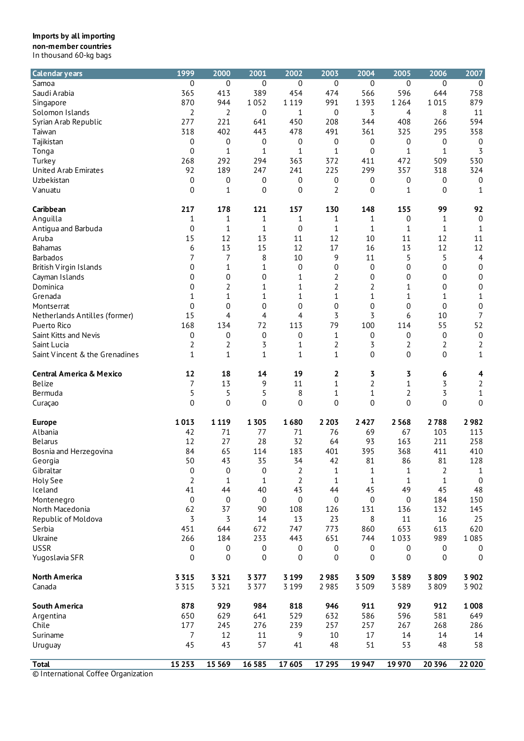| <b>Calendar years</b>               | 1999             | 2000             | 2001             | 2002             | 2003             | 2004           | 2005             | 2006             | 2007             |
|-------------------------------------|------------------|------------------|------------------|------------------|------------------|----------------|------------------|------------------|------------------|
| Samoa                               | 0                | 0                | 0                | 0                | $\boldsymbol{0}$ | 0              | 0                | 0                | 0                |
| Saudi Arabia                        | 365              | 413              | 389              | 454              | 474              | 566            | 596              | 644              | 758              |
| Singapore                           | 870              | 944              | 1052             | 1 1 1 9          | 991              | 1 3 9 3        | 1 2 6 4          | 1015             | 879              |
| Solomon Islands                     | 2                | 2                | 0                | 1                | 0                | 3              | 4                | 8                | 11               |
| Syrian Arab Republic                | 277              | 221              | 641              | 450              | 208              | 344            | 408              | 266              | 594              |
| Taiwan                              | 318              | 402              | 443              | 478              | 491              | 361            | 325              | 295              | 358              |
| Tajikistan                          | 0                | 0                | 0                | 0                | 0                | 0              | 0                | 0                | 0                |
| Tonga                               | $\mathbf 0$      | 1                | 1                | 1                | $\mathbf{1}$     | 0              | 1                | 1                | 3                |
| Turkey                              | 268              | 292              | 294              | 363              | 372              | 411            | 472              | 509              | 530              |
| <b>United Arab Emirates</b>         | 92               | 189              | 247              | 241              | 225              | 299            | 357              | 318              | 324              |
| Uzbekistan                          | 0                | 0                | 0                | 0                | 0                | 0              | 0                | 0                | 0                |
| Vanuatu                             | 0                | 1                | 0                | $\mathbf 0$      | $\overline{2}$   | $\overline{0}$ | 1                | $\mathbf 0$      | 1                |
| Caribbean                           | 217              | 178              | 121              | 157              | 130              | 148            | 155              | 99               | 92               |
| Anguilla                            | 1                | 1                | 1                | $\mathbf{1}$     | 1                | 1              | 0                | 1                | 0                |
| Antigua and Barbuda                 | $\mathbf 0$      | 1                | 1                | 0                | 1                | 1              | 1                | 1                | 1                |
| Aruba                               | 15               | 12               | 13               | 11               | 12               | 10             | 11               | 12               | 11               |
| <b>Bahamas</b>                      | 6                | 13               | 15               | 12               | 17               | 16             | 13               | 12               | 12               |
| <b>Barbados</b>                     | 7                | 7                | 8                | 10               | 9                | 11             | 5                | 5                | 4                |
| British Virgin Islands              | 0                | 1                | 1                | 0                | 0                | 0              | 0                | 0                | $\boldsymbol{0}$ |
| Cayman Islands                      | 0                | 0                | 0                | $\mathbf 1$      | 2                | 0              | 0                | 0                | $\boldsymbol{0}$ |
| Dominica                            | 0                | 2                | 1                | 1                | 2                | 2              | 1                | 0                | 0                |
| Grenada                             | 1                | 1                | 1                | 1                | 1                | $\mathbf{1}$   | 1                | 1                | 1                |
| Montserrat                          | $\overline{0}$   | 0                | 0                | 0                | $\overline{0}$   | 0              | $\mathbf 0$      | $\overline{0}$   | 0                |
| Netherlands Antilles (former)       | 15               | 4                | 4                | 4                | 3                | 3              | 6                | 10               | $\overline{7}$   |
| Puerto Rico                         | 168              | 134              | 72               | 113              | 79               | 100            | 114              | 55               | 52               |
| Saint Kitts and Nevis               | 0                | $\boldsymbol{0}$ | $\boldsymbol{0}$ | 0                | $\mathbf{1}$     | 0              | 0                | $\boldsymbol{0}$ | $\boldsymbol{0}$ |
| Saint Lucia                         | 2                | 2                | 3                | 1                | 2                | 3              | 2                | 2                | 2                |
| Saint Vincent & the Grenadines      | $\mathbf{1}$     | $\mathbf 1$      | $\mathbf{1}$     | 1                | $\mathbf{1}$     | 0              | $\mathbf 0$      | 0                | $\mathbf{1}$     |
| <b>Central America &amp; Mexico</b> | 12               | 18               | 14               | 19               | 2                | 3              | 3                | 6                | 4                |
| Belize                              | 7                | 13               | 9                | 11               | $\mathbf{1}$     | 2              | 1                | 3                | $\sqrt{2}$       |
| Bermuda                             | 5                | 5                | 5                | 8                | $\mathbf{1}$     | $\mathbf{1}$   | 2                | 3                | 1                |
| Curaçao                             | $\overline{0}$   | 0                | 0                | 0                | $\overline{0}$   | 0              | 0                | 0                | 0                |
| <b>Europe</b>                       | 1013             | 1 1 1 9          | 1 3 0 5          | 1680             | 2 2 0 3          | 2427           | 2568             | 2788             | 2982             |
| Albania                             | 42               | 71               | 77               | 71               | 76               | 69             | 67               | 103              | 113              |
| <b>Belarus</b>                      | 12               | 27               | 28               | 32               | 64               | 93             | 163              | 211              | 258              |
| Bosnia and Herzegovina              | 84               | 65               | 114              | 183              | 401              | 395            | 368              | 411              | 410              |
| Georgia                             | 50               | 43               | 35               | 34               | 42               | 81             | 86               | 81               | 128              |
| Gibraltar                           | $\mathbf 0$      | 0                | 0                | $\overline{2}$   | 1                | 1              | 1                | 2                | 1                |
| Holy See                            | $\overline{2}$   | 1                | $1\,$            | 2                | $\mathbf{1}$     | 1              | $\mathbf{1}$     | 1                | $\boldsymbol{0}$ |
| Iceland                             | 41               | 44               | 40               | 43               | 44               | 45             | 49               | 45               | 48               |
| Montenegro                          | $\boldsymbol{0}$ | $\boldsymbol{0}$ | $\boldsymbol{0}$ | $\boldsymbol{0}$ | $\boldsymbol{0}$ | 0              | $\boldsymbol{0}$ | 184              | 150              |
| North Macedonia                     | 62               | 37               | 90               | 108              | 126              | 131            | 136              | 132              | 145              |
| Republic of Moldova                 | 3                | 3                | 14               | 13               | 23               | 8              | 11               | 16               | 25               |
| Serbia                              | 451              | 644              | 672              | 747              | 773              | 860            | 653              | 613              | 620              |
| Ukraine                             | 266              | 184              | 233              | 443              | 651              | 744            | 1033             | 989              | 1085             |
| <b>USSR</b>                         | 0                | 0                | 0                | 0                | 0                | 0              | 0                | 0                | 0                |
| Yugoslavia SFR                      | 0                | 0                | 0                | 0                | 0                | 0              | 0                | $\pmb{0}$        | $\boldsymbol{0}$ |
| <b>North America</b>                | 3 3 1 5          | 3 3 2 1          | 3 3 7 7          | 3 1 9 9          | 2985             | 3 5 0 9        | 3 5 8 9          | 3809             | 3 9 0 2          |
| Canada                              | 3 3 1 5          | 3 3 2 1          | 3 3 7 7          | 3 1 9 9          | 2985             | 3 5 0 9        | 3589             | 3809             | 3 9 0 2          |
|                                     |                  |                  |                  |                  |                  |                |                  |                  |                  |
| <b>South America</b>                | 878              | 929              | 984              | 818              | 946              | 911            | 929              | 912              | 1008             |
| Argentina                           | 650              | 629              | 641              | 529              | 632              | 586            | 596              | 581              | 649              |
| Chile                               | 177              | 245              | 276              | 239              | 257              | 257            | 267              | 268              | 286              |
| Suriname                            | 7                | 12               | 11               | 9                | 10               | 17             | 14               | 14               | 14               |
| Uruguay                             | 45               | 43               | 57               | 41               | 48               | 51             | 53               | 48               | 58               |
| <b>Total</b>                        | 15 2 5 3         | 15 5 69          | 16 5 8 5         | 17 605           | 17 295           | 19 947         | 19970            | 20 3 9 6         | 22 0 20          |
| © International Coffee Organization |                  |                  |                  |                  |                  |                |                  |                  |                  |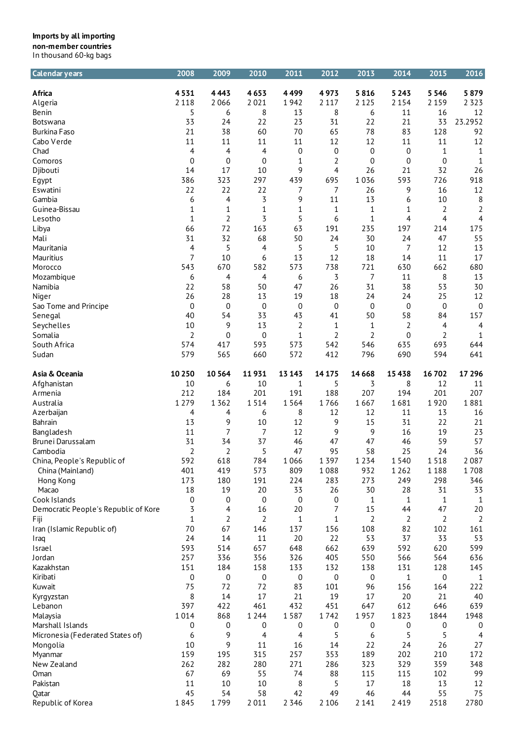| <b>Calendar years</b>                           | 2008        | 2009                 | 2010                  | 2011             | 2012    | 2013        | 2014       | 2015               | 2016               |
|-------------------------------------------------|-------------|----------------------|-----------------------|------------------|---------|-------------|------------|--------------------|--------------------|
| Africa                                          | 4531        | 4443                 | 4653                  | 4499             | 4973    | 5816        | 5 2 4 3    | 5 5 4 6            | 5879               |
| Algeria                                         | 2 1 1 8     | 2066                 | 2021                  | 1942             | 2 1 1 7 | 2 1 2 5     | 2 1 5 4    | 2 1 5 9            | 2 3 2 3            |
| Benin                                           | 5           | 6                    | 8                     | 13               | 8       | 6           | 11         | 16                 | 12                 |
| Botswana                                        | 33          | 24                   | 22                    | 23               | 31      | 22          | 21         | 33                 | 23.2952            |
| <b>Burkina Faso</b>                             | 21          | 38                   | 60                    | 70               | 65      | 78          | 83         | 128                | 92                 |
| Cabo Verde                                      | 11          | 11                   | 11                    | 11               | 12      | 12          | 11         | 11                 | 12                 |
|                                                 |             |                      |                       |                  |         |             |            |                    |                    |
| Chad                                            | 4           | 4                    | 4                     | $\boldsymbol{0}$ | 0       | $\mathbf 0$ | 0          | $\mathbf{1}$       | 1                  |
| Comoros                                         | 0           | 0                    | 0                     | 1                | 2       | 0           | 0          | 0                  | 1                  |
| Djibouti                                        | 14          | 17                   | 10                    | 9                | 4       | 26          | 21         | 32                 | 26                 |
| Egypt                                           | 386         | 323                  | 297                   | 439              | 695     | 1036        | 593        | 726                | 918                |
| Eswatini                                        | 22          | 22                   | 22                    | 7                | 7       | 26          | 9          | 16                 | 12                 |
| Gambia                                          | 6           | 4                    | $\overline{3}$        | 9                | 11      | 13          | 6          | $10\,$             | 8                  |
| Guinea-Bissau                                   | 1           | 1                    | $\mathbf 1$           | $\mathbf{1}$     | 1       | 1           | 1          | 2                  | $\overline{2}$     |
| Lesotho                                         | 1           | 2                    | 3                     | 5                | 6       | 1           | 4          | 4                  | 4                  |
| Libya                                           | 66          | 72                   | 163                   | 63               | 191     | 235         | 197        | 214                | 175                |
| Mali                                            | 31          | 32                   | 68                    | 50               | 24      | 30          | 24         | 47                 | 55                 |
| Mauritania                                      | 4           | 5                    | 4                     | 5                | 5       | 10          | 7          | 12                 | 13                 |
| Mauritius                                       | 7           | 10                   | 6                     | 13               | 12      | 18          | 14         | 11                 | 17                 |
| Morocco                                         | 543         | 670                  | 582                   | 573              | 738     | 721         | 630        | 662                | 680                |
| Mozambique                                      | 6           | 4                    | 4                     | 6                | 3       | 7           | 11         | 8                  | 13                 |
| Namibia                                         | 22          | 58                   | 50                    | 47               | 26      | 31          | 38         | 53                 | 30                 |
| Niger                                           | 26          | 28                   | 13                    | 19               | 18      | 24          | 24         | 25                 | 12                 |
| Sao Tome and Principe                           | $\mathbf 0$ | 0                    | $\mathbf 0$           | 0                | 0       | 0           | 0          | $\mathbf 0$        | 0                  |
| Senegal                                         | 40          | 54                   | 33                    | 43               | 41      | 50          | 58         | 84                 | 157                |
| Seychelles                                      | 10          | 9                    | 13                    | 2                | 1       | $\mathbf 1$ | $\sqrt{2}$ | 4                  | $\overline{4}$     |
| Somalia                                         | 2           | 0                    | 0                     | 1                | 2       | 2           | 0          | 2                  | $\mathbf{1}$       |
| South Africa                                    | 574         | 417                  | 593                   | 573              | 542     | 546         | 635        | 693                | 644                |
| Sudan                                           | 579         | 565                  | 660                   | 572              | 412     | 796         | 690        | 594                | 641                |
| Asia & Oceania                                  | 10 250      | 10 5 64              | 11931                 | 13 143           | 14 17 5 | 14 6 68     | 15 4 38    | 16702              | 17 29 6            |
| Afghanistan                                     | 10          | 6                    | 10                    | 1                | 5       | 3           | 8          | 12                 | 11                 |
| Armenia                                         | 212         | 184                  | 201                   | 191              | 188     | 207         | 194        | 201                | 207                |
| Australia                                       | 1 2 7 9     | 1 3 6 2              | 1514                  | 1564             | 1766    | 1667        | 1681       | 1920               | 1881               |
| Azerbaijan                                      | 4           | 4                    | 6                     | 8                | 12      | 12          | 11         | 13                 | 16                 |
| Bahrain                                         | 13          | 9                    | 10                    | 12               | 9       | 15          | 31         | 22                 | 21                 |
| Bangladesh                                      | 11          | 7                    | 7                     | 12               | 9       | 9           | 16         | 19                 | 23                 |
| Brunei Darussalam                               | 31          | 34                   | 37                    | 46               | 47      | 47          | 46         | 59                 | 57                 |
| Cambodia                                        | 2           | $\sqrt{2}$           | 5                     | 47               | 95      | 58          | 25         | 24                 | 36                 |
|                                                 | 592         | 618                  | 784                   | 1066             | 1 3 9 7 | 1 2 3 4     | 1540       | 1518               | 2087               |
| China, People's Republic of<br>China (Mainland) | 401         | 419                  | 573                   | 809              | 1088    | 932         | 1 2 6 2    | 1188               | 1708               |
| Hong Kong                                       | 173         | 180                  | 191                   | 224              | 283     | 273         | 249        | 298                | 346                |
|                                                 | 18          |                      |                       |                  | 26      | 30          | 28         | 31                 |                    |
| Macao<br>Cook Islands                           | 0           | 19<br>0              | 20                    | 33               |         |             | 1          |                    | 33                 |
|                                                 | 3           | 4                    | 0<br>16               | 0<br>20          | 0<br>7  | 1<br>15     | 44         | $\mathbf{1}$<br>47 | $\mathbf{1}$<br>20 |
| Democratic People's Republic of Kore            |             |                      |                       |                  |         |             |            |                    |                    |
| Fiji<br>Iran (Islamic Republic of)              | 1<br>70     | $\overline{2}$<br>67 | $\overline{2}$<br>146 | 1<br>137         | 1       | 2<br>108    | 2<br>82    | 2                  | $\overline{2}$     |
|                                                 | 24          | 14                   |                       |                  | 156     |             | 37         | 102                | 161                |
| Iraq                                            |             |                      | 11                    | 20               | 22      | 53          |            | 33                 | 53                 |
| Israel                                          | 593         | 514                  | 657                   | 648              | 662     | 639         | 592        | 620                | 599                |
| Jordan                                          | 257         | 336                  | 356                   | 326              | 405     | 550         | 566        | 564                | 636                |
| Kazakhstan                                      | 151         | 184                  | 158                   | 133              | 132     | 138         | 131        | 128                | 145                |
| Kiribati                                        | 0           | 0                    | 0                     | 0                | 0       | 0           | 1          | 0                  | 1                  |
| Kuwait                                          | 75          | 72                   | 72                    | 83               | 101     | 96          | 156        | 164                | 222                |
| Kyrgyzstan                                      | 8           | 14                   | 17                    | 21               | 19      | 17          | 20         | 21                 | 40                 |
| Lebanon                                         | 397         | 422                  | 461                   | 432              | 451     | 647         | 612        | 646                | 639                |
| Malaysia                                        | 1014        | 868                  | 1 2 4 4               | 1587             | 1742    | 1957        | 1823       | 1844               | 1948               |
| Marshall Islands                                | 0           | 0                    | 0                     | 0                | 0       | 0           | 0          | 0                  | 0                  |
| Micronesia (Federated States of)                | 6           | 9                    | 4                     | 4                | 5       | 6           | 5          | 5                  | 4                  |
| Mongolia                                        | 10          | 9                    | 11                    | 16               | 14      | 22          | 24         | 26                 | 27                 |
| Myanmar                                         | 159         | 195                  | 315                   | 257              | 353     | 189         | 202        | 210                | 172                |
| New Zealand                                     | 262         | 282                  | 280                   | 271              | 286     | 323         | 329        | 359                | 348                |
| Oman                                            | 67          | 69                   | 55                    | 74               | 88      | 115         | 115        | 102                | 99                 |
| Pakistan                                        | 11          | 10                   | 10                    | 8                | 5       | 17          | 18         | 13                 | 12                 |
| Qatar                                           | 45          | 54                   | 58                    | 42               | 49      | 46          | 44         | 55                 | 75                 |
| Republic of Korea                               | 1845        | 1799                 | 2011                  | 2 3 4 6          | 2 1 0 6 | 2 1 4 1     | 2 4 1 9    | 2518               | 2780               |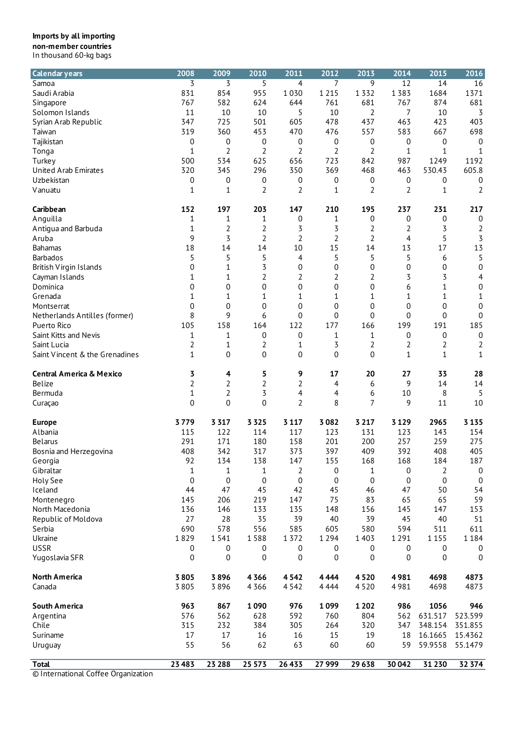| <b>Calendar years</b>               | 2008           | 2009         | 2010             | 2011           | 2012           | 2013             | 2014    | 2015             | 2016             |
|-------------------------------------|----------------|--------------|------------------|----------------|----------------|------------------|---------|------------------|------------------|
| Samoa                               | 3              | 3            | 5                | $\overline{4}$ | 7              | 9                | 12      | 14               | 16               |
| Saudi Arabia                        | 831            | 854          | 955              | 1030           | 1 2 1 5        | 1332             | 1383    | 1684             | 1371             |
| Singapore                           | 767            | 582          | 624              | 644            | 761            | 681              | 767     | 874              | 681              |
| Solomon Islands                     | 11             | 10           | 10               | 5              | 10             | 2                | 7       | 10               | 3                |
|                                     | 347            | 725          | 501              | 605            | 478            | 437              | 463     | 423              | 403              |
| Syrian Arab Republic                |                |              |                  |                |                |                  |         |                  |                  |
| Taiwan                              | 319            | 360          | 453              | 470            | 476            | 557              | 583     | 667              | 698              |
| Tajikistan                          | 0              | 0            | 0                | 0              | 0              | 0                | 0       | 0                | $\boldsymbol{0}$ |
| Tonga                               | $1\,$          | 2            | 2                | $\overline{2}$ | $\overline{2}$ | $\overline{2}$   | 1       | 1                | 1                |
| Turkey                              | 500            | 534          | 625              | 656            | 723            | 842              | 987     | 1249             | 1192             |
| <b>United Arab Emirates</b>         | 320            | 345          | 296              | 350            | 369            | 468              | 463     | 530.43           | 605.8            |
| Uzbekistan                          | 0              | 0            | 0                | 0              | 0              | 0                | 0       | 0                | 0                |
| Vanuatu                             | 1              | 1            | 2                | 2              | 1              | 2                | 2       | 1                | 2                |
| Caribbean                           | 152            | 197          | 203              | 147            | 210            | 195              | 237     | 231              | 217              |
| Anguilla                            | 1              | 1            | 1                | 0              | 1              | 0                | 0       | 0                | 0                |
| Antigua and Barbuda                 | 1              | 2            | $\overline{2}$   | 3              | 3              | 2                | 2       | 3                | $\overline{2}$   |
| Aruba                               | 9              | 3            | 2                | $\overline{2}$ | 2              | $\overline{2}$   | 4       | 5                | 3                |
| <b>Bahamas</b>                      | 18             | 14           | 14               | 10             | 15             | 14               | 13      | 17               | 13               |
| <b>Barbados</b>                     | 5              | 5            | 5                | 4              | 5              | 5                | 5       | 6                | 5                |
| <b>British Virgin Islands</b>       | 0              | 1            | 3                | 0              | 0              | $\boldsymbol{0}$ | 0       | $\boldsymbol{0}$ | $\mathbf 0$      |
|                                     |                | 1            | 2                | 2              | 2              | 2                | 3       | 3                |                  |
| Cayman Islands                      | 1              |              |                  |                |                |                  |         |                  | 4                |
| Dominica                            | 0              | 0            | 0                | 0              | 0              | 0                | 6       | 1                | $\boldsymbol{0}$ |
| Grenada                             | 1              | 1            | 1                | 1              | 1              | 1                | 1       | 1                | 1                |
| Montserrat                          | 0              | 0            | 0                | 0              | 0              | 0                | 0       | 0                | $\mathbf 0$      |
| Netherlands Antilles (former)       | 8              | 9            | 6                | 0              | 0              | 0                | 0       | 0                | $\mathbf 0$      |
| Puerto Rico                         | 105            | 158          | 164              | 122            | 177            | 166              | 199     | 191              | 185              |
| Saint Kitts and Nevis               | 1              | 1            | 0                | 0              | 1              | 1                | 0       | 0                | $\boldsymbol{0}$ |
| Saint Lucia                         | 2              | 1            | 2                | 1              | 3              | 2                | 2       | 2                | 2                |
| Saint Vincent & the Grenadines      | 1              | 0            | 0                | $\mathbf 0$    | $\overline{0}$ | $\overline{0}$   | 1       | 1                | $\mathbf{1}$     |
| <b>Central America &amp; Mexico</b> | 3              | 4            | 5                | 9              | 17             | 20               | 27      | 33               | 28               |
| Belize                              | $\overline{2}$ | 2            | 2                | $\overline{2}$ | 4              | 6                | 9       | 14               | 14               |
| Bermuda                             | 1              | 2            | 3                | 4              | 4              | 6                | 10      | 8                | 5                |
| Curaçao                             | 0              | 0            | 0                | $\overline{2}$ | 8              | 7                | 9       | 11               | 10               |
|                                     | 3779           | 3 3 1 7      | 3 3 2 5          | 3 1 1 7        | 3082           | 3 2 1 7          | 3 1 2 9 | 2965             | 3 1 3 5          |
| <b>Europe</b>                       |                |              |                  |                |                |                  |         |                  |                  |
| Albania                             | 115            | 122          | 114              | 117            | 123            | 131              | 123     | 143              | 154              |
| Belarus                             | 291            | 171          | 180              | 158            | 201            | 200              | 257     | 259              | 275              |
| Bosnia and Herzegovina              | 408            | 342          | 317              | 373            | 397            | 409              | 392     | 408              | 405              |
| Georgia                             | 92             | 134          | 138              | 147            | 155            | 168              | 168     | 184              | 187              |
| Gibraltar                           | 1              | $\mathbf{1}$ | 1                | 2              | 0              | 1                | 0       | 2                | 0                |
| Holy See                            | 0              | 0            | 0                | 0              | 0              | 0                | 0       | $\mathbf 0$      | $\boldsymbol{0}$ |
| Iceland                             | 44             | 47           | 45               | 42             | 45             | 46               | 47      | 50               | 54               |
| Montenegro                          | 145            | 206          | 219              | 147            | 75             | 83               | 65      | 65               | 59               |
| North Macedonia                     | 136            | 146          | 133              | 135            | 148            | 156              | 145     | 147              | 153              |
| Republic of Moldova                 | 27             | 28           | 35               | 39             | 40             | 39               | 45      | 40               | 51               |
| Serbia                              | 690            | 578          | 556              | 585            | 605            | 580              | 594     | 511              | 611              |
| Ukraine                             | 1829           | 1541         | 1588             | 1 3 7 2        | 1 2 9 4        | 1 4 0 3          | 1 2 9 1 | 1 1 5 5          | 1184             |
| <b>USSR</b>                         | 0              | 0            | $\boldsymbol{0}$ | 0              | 0              | 0                | 0       | $\boldsymbol{0}$ | 0                |
| Yugoslavia SFR                      | 0              | 0            | 0                | 0              | 0              | 0                | 0       | 0                | 0                |
|                                     | 3805           | 3896         |                  | 4 5 4 2        | 4444           |                  |         | 4698             | 4873             |
| North America                       |                |              | 4366             |                |                | 4520             | 4981    |                  |                  |
| Canada                              | 3805           | 3896         | 4 3 6 6          | 4542           | 4 4 4 4        | 4520             | 4981    | 4698             | 4873             |
| <b>South America</b>                | 963            | 867          | 1090             | 976            | 1099           | 1 2 0 2          | 986     | 1056             | 946              |
| Argentina                           | 576            | 562          | 628              | 592            | 760            | 804              | 562     | 631.517          | 523.599          |
| Chile                               | 315            | 232          | 384              | 305            | 264            | 320              | 347     | 348.154          | 351.855          |
| Suriname                            | 17             | $17\,$       | 16               | 16             | 15             | 19               | 18      | 16.1665          | 15.4362          |
| Uruguay                             | 55             | 56           | 62               | 63             | 60             | 60               | 59      | 59.9558          | 55.1479          |
| <b>Total</b>                        | 23 4 8 3       | 23 288       | 25 573           | 26 433         | 27 999         | 29638            | 30 042  | 31 2 30          | 32 374           |
| © International Coffee Organization |                |              |                  |                |                |                  |         |                  |                  |
|                                     |                |              |                  |                |                |                  |         |                  |                  |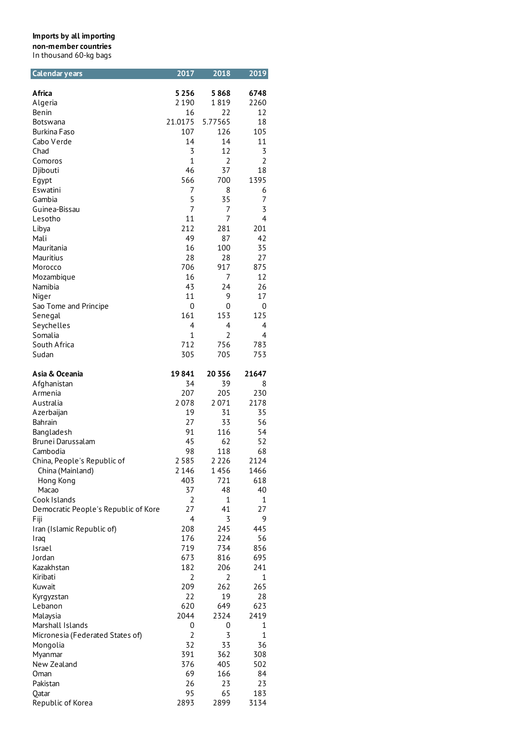| Calendar years                       | 2017           | 2018           | 2019           |
|--------------------------------------|----------------|----------------|----------------|
| Africa                               | 5 2 5 6        | 5868           | 6748           |
| Algeria                              | 2 1 9 0        | 1819           | 2260           |
| Benin                                | 16             | 22             | 12             |
| Botswana                             | 21.0175        | 5.77565        | 18             |
| Burkina Faso                         | 107            | 126            | 105            |
| Cabo Verde                           | 14             | 14             | 11             |
| Chad                                 | 3              | 12             | 3              |
| Comoros                              | $\mathbf{1}$   | $\overline{2}$ | $\overline{2}$ |
| Djibouti                             | 46             | 37             | 18             |
| Egypt                                | 566            | 700            | 1395           |
| Eswatini                             | 7              | 8              | 6              |
| Gambia                               | 5              | 35             | 7              |
| Guinea-Bissau                        | 7              | 7              | 3              |
| Lesotho                              | 11             | 7              | 4              |
| Libya                                | 212            | 281            | 201            |
| Mali                                 | 49             | 87             | 42             |
| Mauritania                           | 16             | 100            | 35             |
| Mauritius                            | 28             | 28             | 27             |
| Morocco                              | 706            | 917            | 875            |
| Mozambique                           | 16             | 7              | 12             |
| Namibia                              | 43             | 24             | 26             |
| Niger                                | 11             | 9              | 17             |
| Sao Tome and Principe                | 0              | 0              | 0              |
| Senegal                              | 161            | 153            | 125            |
| Seychelles                           | 4              | 4              | 4              |
| Somalia                              | $\mathbf{1}$   | $\overline{2}$ | 4              |
| South Africa                         | 712            | 756            | 783            |
| Sudan                                | 305            | 705            | 753            |
| Asia & Oceania                       | 19841          | 20 3 5 6       | 21647          |
| Afghanistan                          | 34             | 39             | 8              |
| Armenia                              | 207            | 205            | 230            |
| Australia                            | 2078           | 2071           | 2178           |
| Azerbaijan                           | 19             | 31             | 35             |
| Bahrain                              | 27             | 33             | 56             |
| Bangladesh                           | 91             | 116            | 54             |
| Brunei Darussalam                    | 45             | 62             | 52             |
| Cambodia                             | 98             | 118            | 68             |
| China, People's Republic of          | 2 5 8 5        | 2 2 2 6        | 2124           |
| China (Mainland)                     | 2 1 4 6        | 1456           | 1466           |
| Hong Kong                            | 403            | 721            | 618            |
| Macao                                | 37             | 48             | 40             |
| Cook Islands                         | 2              | $\mathbf 1$    | 1              |
| Democratic People's Republic of Kore | 27             | 41             | 27             |
| Fiji                                 | 4              | 3              | 9              |
| Iran (Islamic Republic of)           | 208            | 245            | 445            |
| Iraq                                 | 176            | 224            | 56             |
| Israel                               | 719            | 734            | 856            |
| Jordan                               | 673            | 816            | 695            |
| Kazakhstan                           | 182            | 206            | 241            |
| Kiribati                             | 2              | $\overline{2}$ | 1              |
| Kuwait                               | 209            | 262            | 265            |
| Kyrgyzstan                           | 22             | 19             | 28             |
| Lebanon                              | 620            | 649            | 623            |
| Malaysia                             | 2044           | 2324           | 2419           |
| Marshall Islands                     | 0              | 0              | 1              |
| Micronesia (Federated States of)     | $\overline{2}$ | 3              | 1              |
| Mongolia                             | 32             | 33             | 36             |
| Myanmar                              | 391            | 362            | 308            |
| New Zealand                          | 376            | 405            | 502            |
| Oman                                 | 69             | 166            | 84             |
| Pakistan                             | 26             | 23             | 23             |
| Qatar                                | 95             | 65             | 183            |
| Republic of Korea                    | 2893           | 2899           | 3134           |